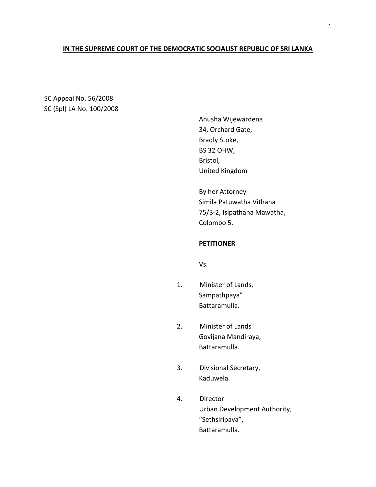# **IN THE SUPREME COURT OF THE DEMOCRATIC SOCIALIST REPUBLIC OF SRI LANKA**

SC Appeal No. 56/2008 SC (Spl) LA No. 100/2008

> Anusha Wijewardena 34, Orchard Gate, Bradly Stoke, BS 32 OHW, Bristol, United Kingdom

By her Attorney Simila Patuwatha Vithana 75/3-2, Isipathana Mawatha, Colombo 5.

# **PETITIONER**

Vs.

- 1. Minister of Lands, Sampathpaya" Battaramulla.
- 2. Minister of Lands Govijana Mandiraya, Battaramulla.
- 3. Divisional Secretary, Kaduwela.
- 4. Director Urban Development Authority, "Sethsiripaya", Battaramulla.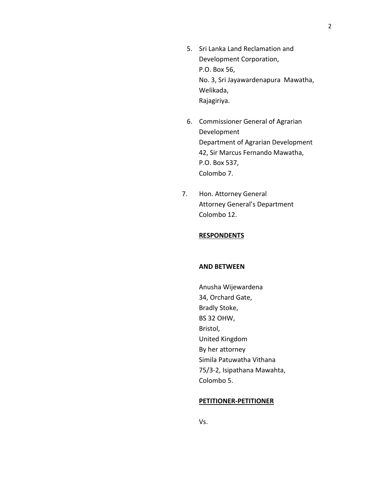- 5. Sri Lanka Land Reclamation and Development Corporation, P.O. Box 56, No. 3, Sri Jayawardenapura Mawatha, Welikada, Rajagiriya.
- 6. Commissioner General of Agrarian Development Department of Agrarian Development 42, Sir Marcus Fernando Mawatha, P.O. Box 537, Colombo 7.
- 7. Hon. Attorney General Attorney General's Department Colombo 12.

## **RESPONDENTS**

#### **AND BETWEEN**

Anusha Wijewardena 34, Orchard Gate, Bradly Stoke, BS 32 OHW, Bristol, United Kingdom By her attorney Simila Patuwatha Vithana 75/3-2, Isipathana Mawahta, Colombo 5.

#### **PETITIONER-PETITIONER**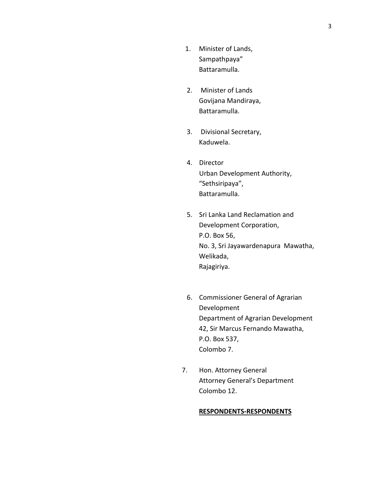- 1. Minister of Lands, Sampathpaya" Battaramulla.
- 2. Minister of Lands Govijana Mandiraya, Battaramulla.
- 3. Divisional Secretary, Kaduwela.
- 4. Director Urban Development Authority, "Sethsiripaya", Battaramulla.
- 5. Sri Lanka Land Reclamation and Development Corporation, P.O. Box 56, No. 3, Sri Jayawardenapura Mawatha, Welikada, Rajagiriya.
- 6. Commissioner General of Agrarian Development Department of Agrarian Development 42, Sir Marcus Fernando Mawatha, P.O. Box 537, Colombo 7.
- 7. Hon. Attorney General Attorney General's Department Colombo 12.

## **RESPONDENTS-RESPONDENTS**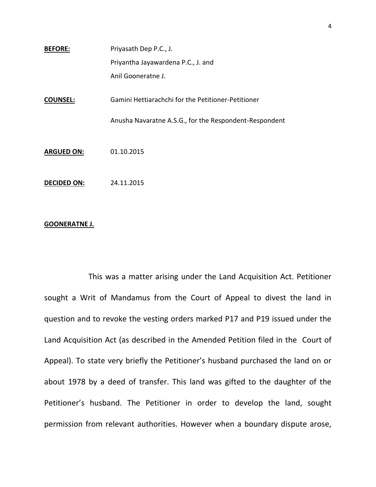| Priyasath Dep P.C., J.             |
|------------------------------------|
| Priyantha Jayawardena P.C., J. and |
| Anil Gooneratne J.                 |
|                                    |

**COUNSEL:** Gamini Hettiarachchi for the Petitioner-Petitioner

Anusha Navaratne A.S.G., for the Respondent-Respondent

**ARGUED ON:** 01.10.2015

**DECIDED ON:** 24.11.2015

## **GOONERATNE J.**

This was a matter arising under the Land Acquisition Act. Petitioner sought a Writ of Mandamus from the Court of Appeal to divest the land in question and to revoke the vesting orders marked P17 and P19 issued under the Land Acquisition Act (as described in the Amended Petition filed in the Court of Appeal). To state very briefly the Petitioner's husband purchased the land on or about 1978 by a deed of transfer. This land was gifted to the daughter of the Petitioner's husband. The Petitioner in order to develop the land, sought permission from relevant authorities. However when a boundary dispute arose,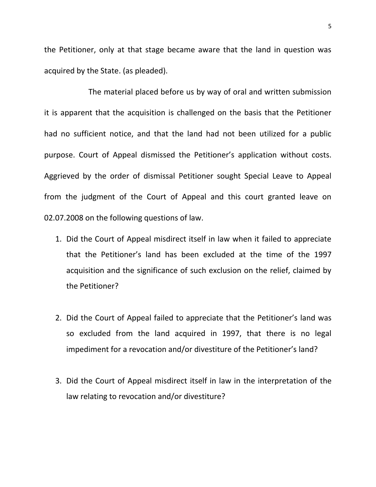the Petitioner, only at that stage became aware that the land in question was acquired by the State. (as pleaded).

The material placed before us by way of oral and written submission it is apparent that the acquisition is challenged on the basis that the Petitioner had no sufficient notice, and that the land had not been utilized for a public purpose. Court of Appeal dismissed the Petitioner's application without costs. Aggrieved by the order of dismissal Petitioner sought Special Leave to Appeal from the judgment of the Court of Appeal and this court granted leave on 02.07.2008 on the following questions of law.

- 1. Did the Court of Appeal misdirect itself in law when it failed to appreciate that the Petitioner's land has been excluded at the time of the 1997 acquisition and the significance of such exclusion on the relief, claimed by the Petitioner?
- 2. Did the Court of Appeal failed to appreciate that the Petitioner's land was so excluded from the land acquired in 1997, that there is no legal impediment for a revocation and/or divestiture of the Petitioner's land?
- 3. Did the Court of Appeal misdirect itself in law in the interpretation of the law relating to revocation and/or divestiture?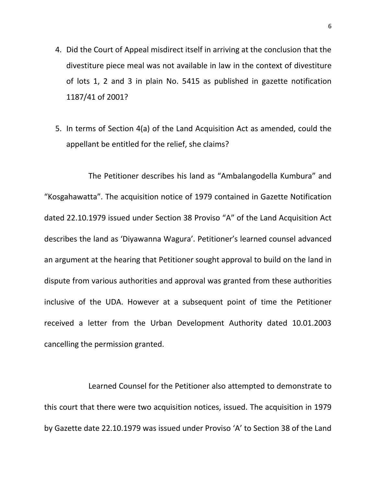- 4. Did the Court of Appeal misdirect itself in arriving at the conclusion that the divestiture piece meal was not available in law in the context of divestiture of lots 1, 2 and 3 in plain No. 5415 as published in gazette notification 1187/41 of 2001?
- 5. In terms of Section 4(a) of the Land Acquisition Act as amended, could the appellant be entitled for the relief, she claims?

The Petitioner describes his land as "Ambalangodella Kumbura" and "Kosgahawatta". The acquisition notice of 1979 contained in Gazette Notification dated 22.10.1979 issued under Section 38 Proviso "A" of the Land Acquisition Act describes the land as 'Diyawanna Wagura'. Petitioner's learned counsel advanced an argument at the hearing that Petitioner sought approval to build on the land in dispute from various authorities and approval was granted from these authorities inclusive of the UDA. However at a subsequent point of time the Petitioner received a letter from the Urban Development Authority dated 10.01.2003 cancelling the permission granted.

Learned Counsel for the Petitioner also attempted to demonstrate to this court that there were two acquisition notices, issued. The acquisition in 1979 by Gazette date 22.10.1979 was issued under Proviso 'A' to Section 38 of the Land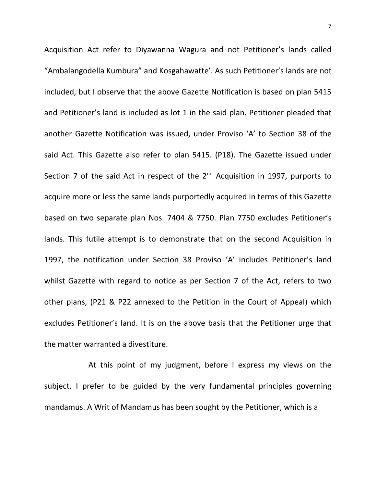Acquisition Act refer to Diyawanna Wagura and not Petitioner's lands called "Ambalangodella Kumbura" and Kosgahawatte'. As such Petitioner's lands are not included, but I observe that the above Gazette Notification is based on plan 5415 and Petitioner's land is included as lot 1 in the said plan. Petitioner pleaded that another Gazette Notification was issued, under Proviso 'A' to Section 38 of the said Act. This Gazette also refer to plan 5415. (P18). The Gazette issued under Section 7 of the said Act in respect of the  $2<sup>nd</sup>$  Acquisition in 1997, purports to acquire more or less the same lands purportedly acquired in terms of this Gazette based on two separate plan Nos. 7404 & 7750. Plan 7750 excludes Petitioner's lands. This futile attempt is to demonstrate that on the second Acquisition in 1997, the notification under Section 38 Proviso 'A' includes Petitioner's land whilst Gazette with regard to notice as per Section 7 of the Act, refers to two other plans, (P21 & P22 annexed to the Petition in the Court of Appeal) which excludes Petitioner's land. It is on the above basis that the Petitioner urge that the matter warranted a divestiture.

At this point of my judgment, before I express my views on the subject, I prefer to be guided by the very fundamental principles governing mandamus. A Writ of Mandamus has been sought by the Petitioner, which is a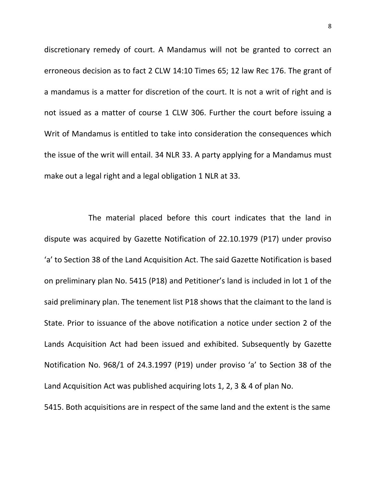discretionary remedy of court. A Mandamus will not be granted to correct an erroneous decision as to fact 2 CLW 14:10 Times 65; 12 law Rec 176. The grant of a mandamus is a matter for discretion of the court. It is not a writ of right and is not issued as a matter of course 1 CLW 306. Further the court before issuing a Writ of Mandamus is entitled to take into consideration the consequences which the issue of the writ will entail. 34 NLR 33. A party applying for a Mandamus must make out a legal right and a legal obligation 1 NLR at 33.

The material placed before this court indicates that the land in dispute was acquired by Gazette Notification of 22.10.1979 (P17) under proviso 'a' to Section 38 of the Land Acquisition Act. The said Gazette Notification is based on preliminary plan No. 5415 (P18) and Petitioner's land is included in lot 1 of the said preliminary plan. The tenement list P18 shows that the claimant to the land is State. Prior to issuance of the above notification a notice under section 2 of the Lands Acquisition Act had been issued and exhibited. Subsequently by Gazette Notification No. 968/1 of 24.3.1997 (P19) under proviso 'a' to Section 38 of the Land Acquisition Act was published acquiring lots 1, 2, 3 & 4 of plan No.

5415. Both acquisitions are in respect of the same land and the extent is the same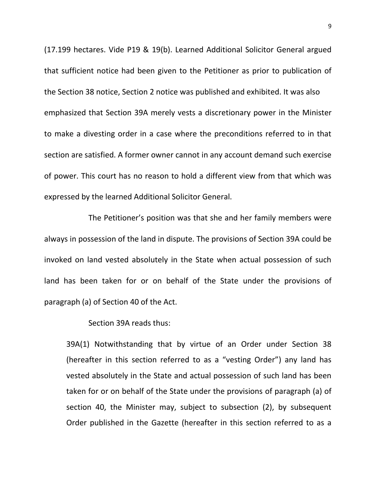(17.199 hectares. Vide P19 & 19(b). Learned Additional Solicitor General argued that sufficient notice had been given to the Petitioner as prior to publication of the Section 38 notice, Section 2 notice was published and exhibited. It was also emphasized that Section 39A merely vests a discretionary power in the Minister to make a divesting order in a case where the preconditions referred to in that section are satisfied. A former owner cannot in any account demand such exercise of power. This court has no reason to hold a different view from that which was expressed by the learned Additional Solicitor General.

The Petitioner's position was that she and her family members were always in possession of the land in dispute. The provisions of Section 39A could be invoked on land vested absolutely in the State when actual possession of such land has been taken for or on behalf of the State under the provisions of paragraph (a) of Section 40 of the Act.

Section 39A reads thus:

39A(1) Notwithstanding that by virtue of an Order under Section 38 (hereafter in this section referred to as a "vesting Order") any land has vested absolutely in the State and actual possession of such land has been taken for or on behalf of the State under the provisions of paragraph (a) of section 40, the Minister may, subject to subsection (2), by subsequent Order published in the Gazette (hereafter in this section referred to as a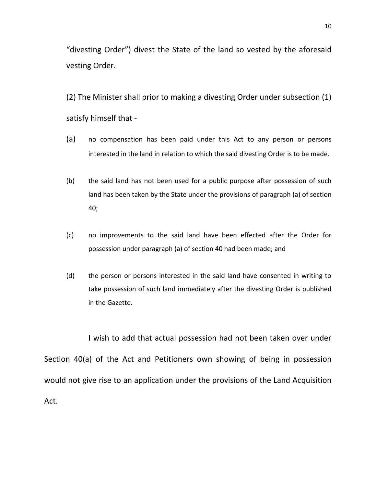"divesting Order") divest the State of the land so vested by the aforesaid vesting Order.

(2) The Minister shall prior to making a divesting Order under subsection (1) satisfy himself that -

- (a) no compensation has been paid under this Act to any person or persons interested in the land in relation to which the said divesting Order is to be made.
- (b) the said land has not been used for a public purpose after possession of such land has been taken by the State under the provisions of paragraph (a) of section 40;
- (c) no improvements to the said land have been effected after the Order for possession under paragraph (a) of section 40 had been made; and
- (d) the person or persons interested in the said land have consented in writing to take possession of such land immediately after the divesting Order is published in the Gazette.

I wish to add that actual possession had not been taken over under Section 40(a) of the Act and Petitioners own showing of being in possession would not give rise to an application under the provisions of the Land Acquisition Act.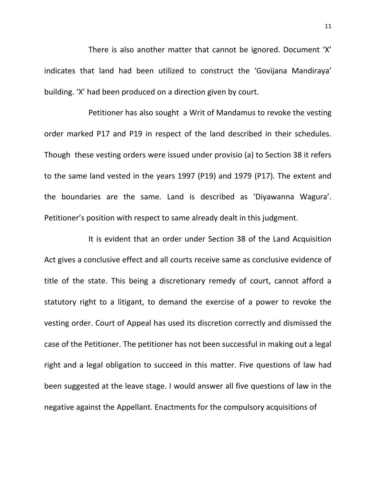There is also another matter that cannot be ignored. Document 'X' indicates that land had been utilized to construct the 'Govijana Mandiraya' building. 'X' had been produced on a direction given by court.

Petitioner has also sought a Writ of Mandamus to revoke the vesting order marked P17 and P19 in respect of the land described in their schedules. Though these vesting orders were issued under provisio (a) to Section 38 it refers to the same land vested in the years 1997 (P19) and 1979 (P17). The extent and the boundaries are the same. Land is described as 'Diyawanna Wagura'. Petitioner's position with respect to same already dealt in this judgment.

It is evident that an order under Section 38 of the Land Acquisition Act gives a conclusive effect and all courts receive same as conclusive evidence of title of the state. This being a discretionary remedy of court, cannot afford a statutory right to a litigant, to demand the exercise of a power to revoke the vesting order. Court of Appeal has used its discretion correctly and dismissed the case of the Petitioner. The petitioner has not been successful in making out a legal right and a legal obligation to succeed in this matter. Five questions of law had been suggested at the leave stage. I would answer all five questions of law in the negative against the Appellant. Enactments for the compulsory acquisitions of